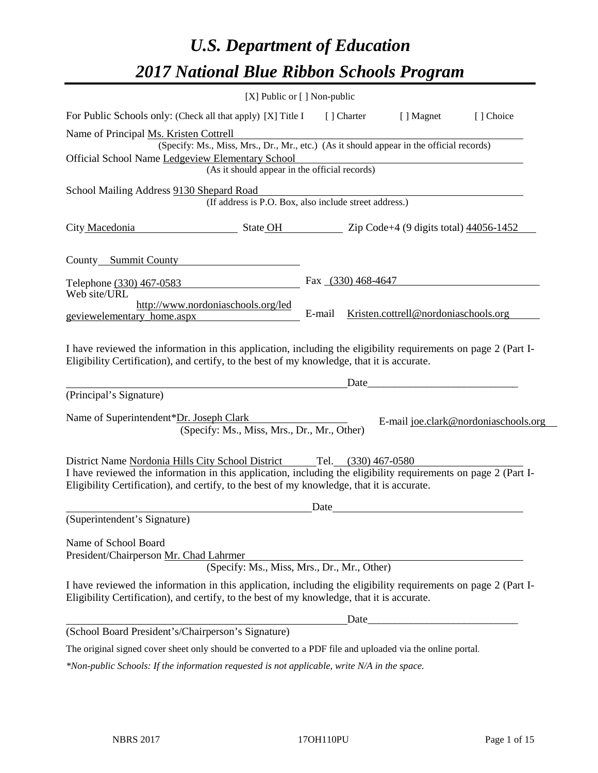# *U.S. Department of Education 2017 National Blue Ribbon Schools Program*

|                                                                                                                                                                                                              | [X] Public or [] Non-public                                                              |        |                      |                                      |                                      |
|--------------------------------------------------------------------------------------------------------------------------------------------------------------------------------------------------------------|------------------------------------------------------------------------------------------|--------|----------------------|--------------------------------------|--------------------------------------|
| For Public Schools only: (Check all that apply) [X] Title I                                                                                                                                                  |                                                                                          |        | [ ] Charter          | [ ] Magnet                           | [ ] Choice                           |
| Name of Principal Ms. Kristen Cottrell                                                                                                                                                                       |                                                                                          |        |                      |                                      |                                      |
|                                                                                                                                                                                                              | (Specify: Ms., Miss, Mrs., Dr., Mr., etc.) (As it should appear in the official records) |        |                      |                                      |                                      |
| <b>Official School Name Ledgeview Elementary School</b>                                                                                                                                                      | (As it should appear in the official records)                                            |        |                      |                                      |                                      |
|                                                                                                                                                                                                              |                                                                                          |        |                      |                                      |                                      |
| School Mailing Address 9130 Shepard Road                                                                                                                                                                     | (If address is P.O. Box, also include street address.)                                   |        |                      |                                      |                                      |
|                                                                                                                                                                                                              |                                                                                          |        |                      |                                      |                                      |
| City Macedonia                                                                                                                                                                                               | $\bullet$ State OH $\bullet$ Zip Code+4 (9 digits total) 44056-1452                      |        |                      |                                      |                                      |
| County Summit County                                                                                                                                                                                         |                                                                                          |        |                      |                                      |                                      |
|                                                                                                                                                                                                              |                                                                                          |        |                      |                                      |                                      |
| Telephone (330) 467-0583<br>Web site/URL                                                                                                                                                                     |                                                                                          |        | Fax $(330)$ 468-4647 |                                      |                                      |
| http://www.nordoniaschools.org/led                                                                                                                                                                           |                                                                                          |        |                      |                                      |                                      |
| geviewelementary_home.aspx                                                                                                                                                                                   |                                                                                          | E-mail |                      | Kristen.cottrell@nordoniaschools.org |                                      |
| I have reviewed the information in this application, including the eligibility requirements on page 2 (Part I-<br>Eligibility Certification), and certify, to the best of my knowledge, that it is accurate. |                                                                                          |        | Date                 |                                      |                                      |
| (Principal's Signature)                                                                                                                                                                                      |                                                                                          |        |                      |                                      |                                      |
| Name of Superintendent*Dr. Joseph Clark                                                                                                                                                                      | (Specify: Ms., Miss, Mrs., Dr., Mr., Other)                                              |        |                      |                                      | E-mail joe.clark@nordoniaschools.org |
| District Name Nordonia Hills City School District                                                                                                                                                            |                                                                                          | Tel.   | $(330)$ 467-0580     |                                      |                                      |
| I have reviewed the information in this application, including the eligibility requirements on page 2 (Part I-<br>Eligibility Certification), and certify, to the best of my knowledge, that it is accurate. |                                                                                          |        |                      |                                      |                                      |
|                                                                                                                                                                                                              |                                                                                          | Date   |                      |                                      |                                      |
| (Superintendent's Signature)                                                                                                                                                                                 |                                                                                          |        |                      |                                      |                                      |
|                                                                                                                                                                                                              |                                                                                          |        |                      |                                      |                                      |
| Name of School Board<br>President/Chairperson Mr. Chad Lahrmer                                                                                                                                               |                                                                                          |        |                      |                                      |                                      |
|                                                                                                                                                                                                              | (Specify: Ms., Miss, Mrs., Dr., Mr., Other)                                              |        |                      |                                      |                                      |
| I have reviewed the information in this application, including the eligibility requirements on page 2 (Part I-<br>Eligibility Certification), and certify, to the best of my knowledge, that it is accurate. |                                                                                          |        |                      |                                      |                                      |
|                                                                                                                                                                                                              |                                                                                          |        |                      |                                      |                                      |
| (School Board President's/Chairperson's Signature)                                                                                                                                                           |                                                                                          |        |                      |                                      |                                      |
| The original signed cover sheet only should be converted to a PDF file and uploaded via the online portal.                                                                                                   |                                                                                          |        |                      |                                      |                                      |
| *Non-public Schools: If the information requested is not applicable, write N/A in the space.                                                                                                                 |                                                                                          |        |                      |                                      |                                      |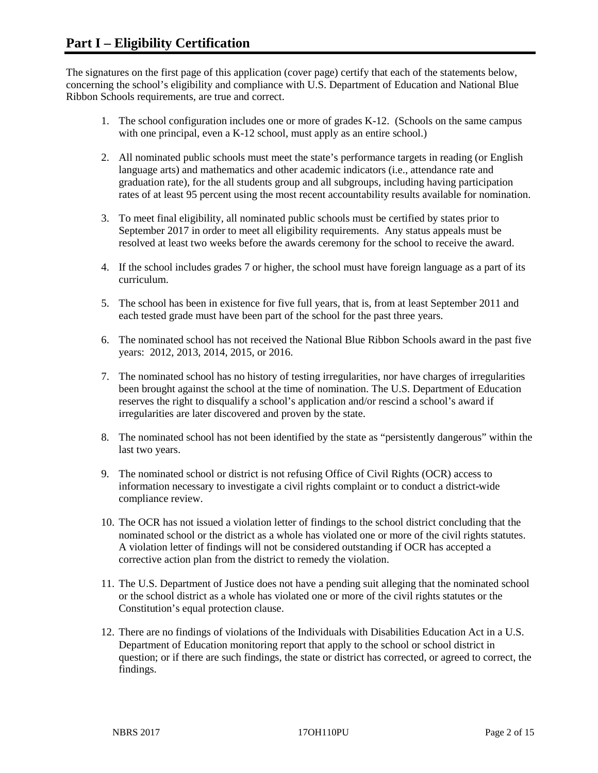The signatures on the first page of this application (cover page) certify that each of the statements below, concerning the school's eligibility and compliance with U.S. Department of Education and National Blue Ribbon Schools requirements, are true and correct.

- 1. The school configuration includes one or more of grades K-12. (Schools on the same campus with one principal, even a K-12 school, must apply as an entire school.)
- 2. All nominated public schools must meet the state's performance targets in reading (or English language arts) and mathematics and other academic indicators (i.e., attendance rate and graduation rate), for the all students group and all subgroups, including having participation rates of at least 95 percent using the most recent accountability results available for nomination.
- 3. To meet final eligibility, all nominated public schools must be certified by states prior to September 2017 in order to meet all eligibility requirements. Any status appeals must be resolved at least two weeks before the awards ceremony for the school to receive the award.
- 4. If the school includes grades 7 or higher, the school must have foreign language as a part of its curriculum.
- 5. The school has been in existence for five full years, that is, from at least September 2011 and each tested grade must have been part of the school for the past three years.
- 6. The nominated school has not received the National Blue Ribbon Schools award in the past five years: 2012, 2013, 2014, 2015, or 2016.
- 7. The nominated school has no history of testing irregularities, nor have charges of irregularities been brought against the school at the time of nomination. The U.S. Department of Education reserves the right to disqualify a school's application and/or rescind a school's award if irregularities are later discovered and proven by the state.
- 8. The nominated school has not been identified by the state as "persistently dangerous" within the last two years.
- 9. The nominated school or district is not refusing Office of Civil Rights (OCR) access to information necessary to investigate a civil rights complaint or to conduct a district-wide compliance review.
- 10. The OCR has not issued a violation letter of findings to the school district concluding that the nominated school or the district as a whole has violated one or more of the civil rights statutes. A violation letter of findings will not be considered outstanding if OCR has accepted a corrective action plan from the district to remedy the violation.
- 11. The U.S. Department of Justice does not have a pending suit alleging that the nominated school or the school district as a whole has violated one or more of the civil rights statutes or the Constitution's equal protection clause.
- 12. There are no findings of violations of the Individuals with Disabilities Education Act in a U.S. Department of Education monitoring report that apply to the school or school district in question; or if there are such findings, the state or district has corrected, or agreed to correct, the findings.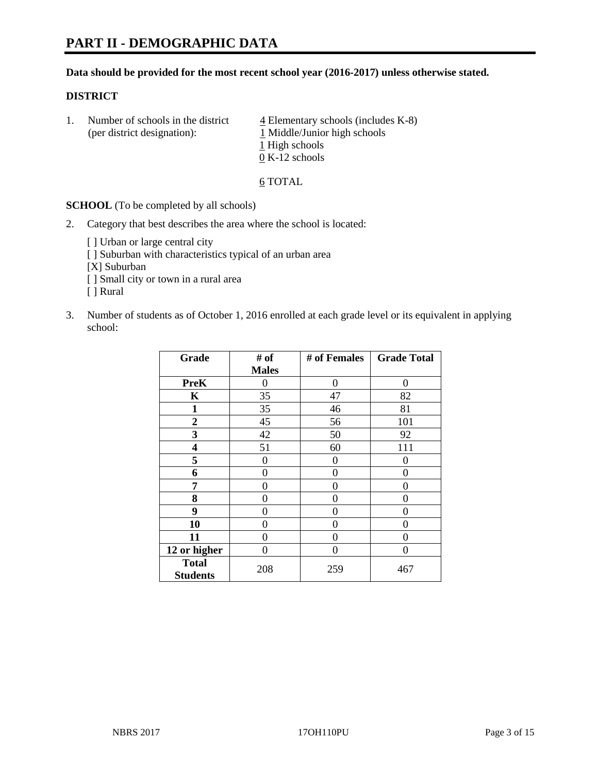# **PART II - DEMOGRAPHIC DATA**

#### **Data should be provided for the most recent school year (2016-2017) unless otherwise stated.**

#### **DISTRICT**

1. Number of schools in the district  $\frac{4}{4}$  Elementary schools (includes K-8) (per district designation): 1 Middle/Junior high schools 1 High schools 0 K-12 schools

#### 6 TOTAL

**SCHOOL** (To be completed by all schools)

- 2. Category that best describes the area where the school is located:
	- [] Urban or large central city [ ] Suburban with characteristics typical of an urban area [X] Suburban [ ] Small city or town in a rural area [ ] Rural
- 3. Number of students as of October 1, 2016 enrolled at each grade level or its equivalent in applying school:

| Grade                           | # of         | # of Females | <b>Grade Total</b> |
|---------------------------------|--------------|--------------|--------------------|
|                                 | <b>Males</b> |              |                    |
| <b>PreK</b>                     | 0            | 0            | 0                  |
| K                               | 35           | 47           | 82                 |
| $\mathbf{1}$                    | 35           | 46           | 81                 |
| $\overline{2}$                  | 45           | 56           | 101                |
| 3                               | 42           | 50           | 92                 |
| 4                               | 51           | 60           | 111                |
| 5                               | 0            | 0            | 0                  |
| 6                               | 0            | $\theta$     | 0                  |
| 7                               | 0            | 0            | 0                  |
| 8                               | $\theta$     | 0            | 0                  |
| 9                               | 0            | 0            | 0                  |
| 10                              | 0            | 0            | 0                  |
| 11                              | 0            | 0            | 0                  |
| 12 or higher                    | 0            | 0            | 0                  |
| <b>Total</b><br><b>Students</b> | 208          | 259          | 467                |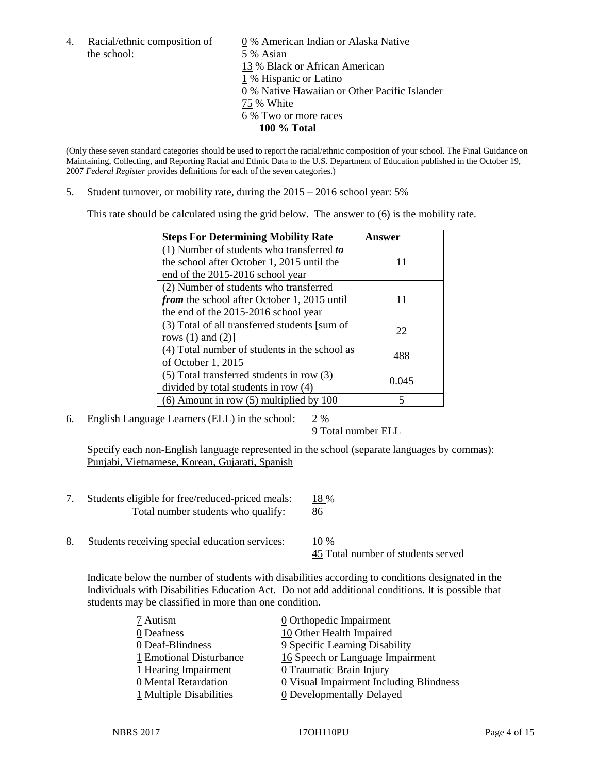the school: 5 % Asian

4. Racial/ethnic composition of  $\qquad \qquad \underline{0}$  % American Indian or Alaska Native 13 % Black or African American 1 % Hispanic or Latino 0 % Native Hawaiian or Other Pacific Islander 75 % White 6 % Two or more races **100 % Total**

(Only these seven standard categories should be used to report the racial/ethnic composition of your school. The Final Guidance on Maintaining, Collecting, and Reporting Racial and Ethnic Data to the U.S. Department of Education published in the October 19, 2007 *Federal Register* provides definitions for each of the seven categories.)

5. Student turnover, or mobility rate, during the 2015 – 2016 school year: 5%

This rate should be calculated using the grid below. The answer to (6) is the mobility rate.

| <b>Steps For Determining Mobility Rate</b>         | Answer |  |
|----------------------------------------------------|--------|--|
| (1) Number of students who transferred to          |        |  |
| the school after October 1, 2015 until the         | 11     |  |
| end of the 2015-2016 school year                   |        |  |
| (2) Number of students who transferred             |        |  |
| <i>from</i> the school after October 1, 2015 until | 11     |  |
| the end of the 2015-2016 school year               |        |  |
| (3) Total of all transferred students [sum of      | 22     |  |
| rows $(1)$ and $(2)$ ]                             |        |  |
| (4) Total number of students in the school as      | 488    |  |
| of October 1, 2015                                 |        |  |
| (5) Total transferred students in row (3)          | 0.045  |  |
| divided by total students in row (4)               |        |  |
| $(6)$ Amount in row $(5)$ multiplied by 100        | 5      |  |

6. English Language Learners (ELL) in the school:  $2\%$ 

9 Total number ELL

Specify each non-English language represented in the school (separate languages by commas): Punjabi, Vietnamese, Korean, Gujarati, Spanish

- 7. Students eligible for free/reduced-priced meals: 18 % Total number students who qualify: 86
- 8. Students receiving special education services:  $10\%$ 45 Total number of students served

Indicate below the number of students with disabilities according to conditions designated in the Individuals with Disabilities Education Act. Do not add additional conditions. It is possible that students may be classified in more than one condition.

| 7 Autism                | 0 Orthopedic Impairment                   |
|-------------------------|-------------------------------------------|
| 0 Deafness              | 10 Other Health Impaired                  |
| 0 Deaf-Blindness        | 9 Specific Learning Disability            |
| 1 Emotional Disturbance | 16 Speech or Language Impairment          |
| 1 Hearing Impairment    | 0 Traumatic Brain Injury                  |
| 0 Mental Retardation    | $Q$ Visual Impairment Including Blindness |
| 1 Multiple Disabilities | <b>0</b> Developmentally Delayed          |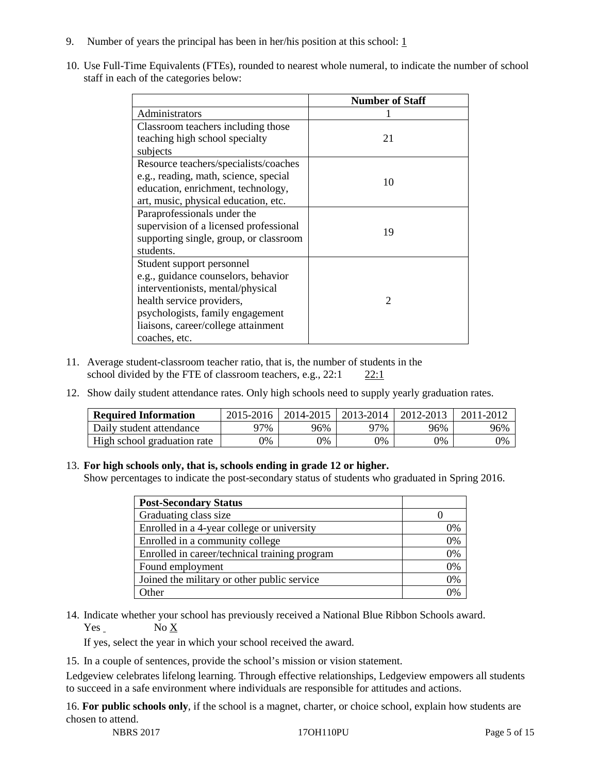- 9. Number of years the principal has been in her/his position at this school:  $1$
- 10. Use Full-Time Equivalents (FTEs), rounded to nearest whole numeral, to indicate the number of school staff in each of the categories below:

|                                        | <b>Number of Staff</b> |  |  |
|----------------------------------------|------------------------|--|--|
| Administrators                         |                        |  |  |
| Classroom teachers including those     |                        |  |  |
| teaching high school specialty         | 21                     |  |  |
| subjects                               |                        |  |  |
| Resource teachers/specialists/coaches  |                        |  |  |
| e.g., reading, math, science, special  | 10                     |  |  |
| education, enrichment, technology,     |                        |  |  |
| art, music, physical education, etc.   |                        |  |  |
| Paraprofessionals under the            |                        |  |  |
| supervision of a licensed professional | 19                     |  |  |
| supporting single, group, or classroom |                        |  |  |
| students.                              |                        |  |  |
| Student support personnel              |                        |  |  |
| e.g., guidance counselors, behavior    |                        |  |  |
| interventionists, mental/physical      |                        |  |  |
| health service providers,              | $\mathcal{D}$          |  |  |
| psychologists, family engagement       |                        |  |  |
| liaisons, career/college attainment    |                        |  |  |
| coaches, etc.                          |                        |  |  |

- 11. Average student-classroom teacher ratio, that is, the number of students in the school divided by the FTE of classroom teachers, e.g., 22:1 22:1
- 12. Show daily student attendance rates. Only high schools need to supply yearly graduation rates.

| <b>Required Information</b> | 2015-2016 | 2014-2015 | 2013-2014 | 2012-2013 |     |
|-----------------------------|-----------|-----------|-----------|-----------|-----|
| Daily student attendance    | า7%       | 96%       | 97%       | 96%       | 96% |
| High school graduation rate | 0%        | 0%        | 0%        | 9%        | 0%  |

### 13. **For high schools only, that is, schools ending in grade 12 or higher.**

Show percentages to indicate the post-secondary status of students who graduated in Spring 2016.

| <b>Post-Secondary Status</b>                  |    |
|-----------------------------------------------|----|
| Graduating class size                         |    |
| Enrolled in a 4-year college or university    | 0% |
| Enrolled in a community college               | 0% |
| Enrolled in career/technical training program | 0% |
| Found employment                              | 0% |
| Joined the military or other public service   | 0% |
| )ther                                         |    |

14. Indicate whether your school has previously received a National Blue Ribbon Schools award. Yes No X

If yes, select the year in which your school received the award.

15. In a couple of sentences, provide the school's mission or vision statement.

Ledgeview celebrates lifelong learning. Through effective relationships, Ledgeview empowers all students to succeed in a safe environment where individuals are responsible for attitudes and actions.

16. **For public schools only**, if the school is a magnet, charter, or choice school, explain how students are chosen to attend.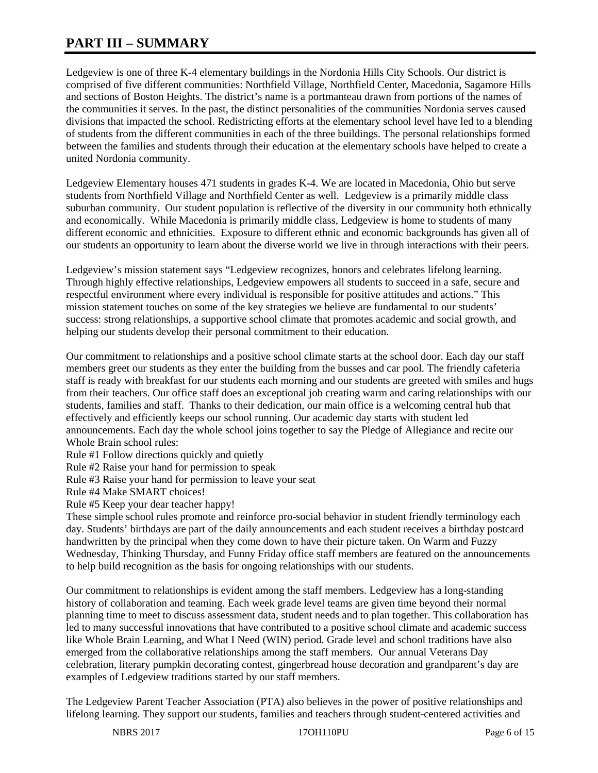# **PART III – SUMMARY**

Ledgeview is one of three K-4 elementary buildings in the Nordonia Hills City Schools. Our district is comprised of five different communities: Northfield Village, Northfield Center, Macedonia, Sagamore Hills and sections of Boston Heights. The district's name is a portmanteau drawn from portions of the names of the communities it serves. In the past, the distinct personalities of the communities Nordonia serves caused divisions that impacted the school. Redistricting efforts at the elementary school level have led to a blending of students from the different communities in each of the three buildings. The personal relationships formed between the families and students through their education at the elementary schools have helped to create a united Nordonia community.

Ledgeview Elementary houses 471 students in grades K-4. We are located in Macedonia, Ohio but serve students from Northfield Village and Northfield Center as well. Ledgeview is a primarily middle class suburban community. Our student population is reflective of the diversity in our community both ethnically and economically. While Macedonia is primarily middle class, Ledgeview is home to students of many different economic and ethnicities. Exposure to different ethnic and economic backgrounds has given all of our students an opportunity to learn about the diverse world we live in through interactions with their peers.

Ledgeview's mission statement says "Ledgeview recognizes, honors and celebrates lifelong learning. Through highly effective relationships, Ledgeview empowers all students to succeed in a safe, secure and respectful environment where every individual is responsible for positive attitudes and actions." This mission statement touches on some of the key strategies we believe are fundamental to our students' success: strong relationships, a supportive school climate that promotes academic and social growth, and helping our students develop their personal commitment to their education.

Our commitment to relationships and a positive school climate starts at the school door. Each day our staff members greet our students as they enter the building from the busses and car pool. The friendly cafeteria staff is ready with breakfast for our students each morning and our students are greeted with smiles and hugs from their teachers. Our office staff does an exceptional job creating warm and caring relationships with our students, families and staff. Thanks to their dedication, our main office is a welcoming central hub that effectively and efficiently keeps our school running. Our academic day starts with student led announcements. Each day the whole school joins together to say the Pledge of Allegiance and recite our Whole Brain school rules:

Rule #1 Follow directions quickly and quietly

Rule #2 Raise your hand for permission to speak

Rule #3 Raise your hand for permission to leave your seat

Rule #4 Make SMART choices!

Rule #5 Keep your dear teacher happy!

These simple school rules promote and reinforce pro-social behavior in student friendly terminology each day. Students' birthdays are part of the daily announcements and each student receives a birthday postcard handwritten by the principal when they come down to have their picture taken. On Warm and Fuzzy Wednesday, Thinking Thursday, and Funny Friday office staff members are featured on the announcements to help build recognition as the basis for ongoing relationships with our students.

Our commitment to relationships is evident among the staff members. Ledgeview has a long-standing history of collaboration and teaming. Each week grade level teams are given time beyond their normal planning time to meet to discuss assessment data, student needs and to plan together. This collaboration has led to many successful innovations that have contributed to a positive school climate and academic success like Whole Brain Learning, and What I Need (WIN) period. Grade level and school traditions have also emerged from the collaborative relationships among the staff members. Our annual Veterans Day celebration, literary pumpkin decorating contest, gingerbread house decoration and grandparent's day are examples of Ledgeview traditions started by our staff members.

The Ledgeview Parent Teacher Association (PTA) also believes in the power of positive relationships and lifelong learning. They support our students, families and teachers through student-centered activities and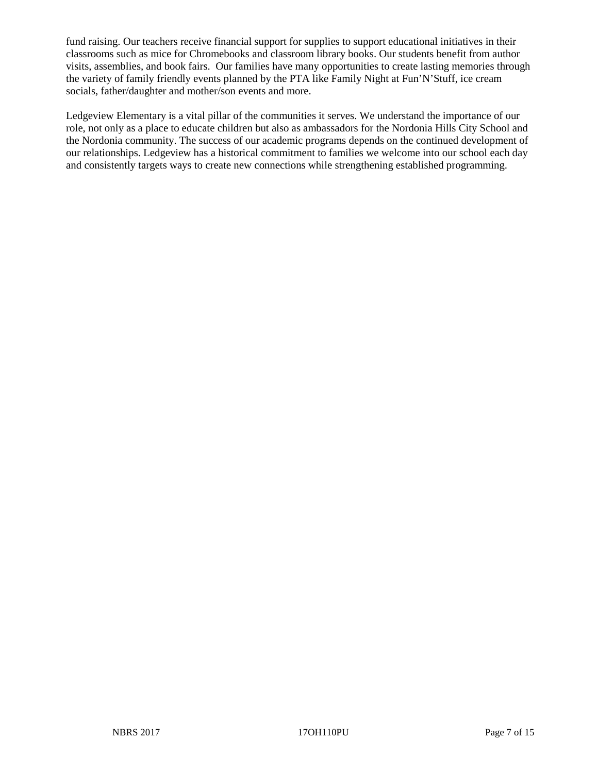fund raising. Our teachers receive financial support for supplies to support educational initiatives in their classrooms such as mice for Chromebooks and classroom library books. Our students benefit from author visits, assemblies, and book fairs. Our families have many opportunities to create lasting memories through the variety of family friendly events planned by the PTA like Family Night at Fun'N'Stuff, ice cream socials, father/daughter and mother/son events and more.

Ledgeview Elementary is a vital pillar of the communities it serves. We understand the importance of our role, not only as a place to educate children but also as ambassadors for the Nordonia Hills City School and the Nordonia community. The success of our academic programs depends on the continued development of our relationships. Ledgeview has a historical commitment to families we welcome into our school each day and consistently targets ways to create new connections while strengthening established programming.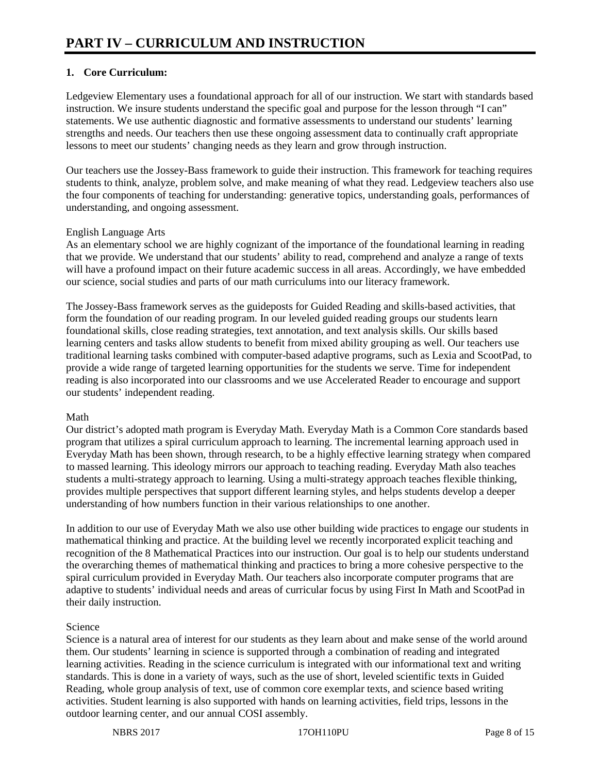# **1. Core Curriculum:**

Ledgeview Elementary uses a foundational approach for all of our instruction. We start with standards based instruction. We insure students understand the specific goal and purpose for the lesson through "I can" statements. We use authentic diagnostic and formative assessments to understand our students' learning strengths and needs. Our teachers then use these ongoing assessment data to continually craft appropriate lessons to meet our students' changing needs as they learn and grow through instruction.

Our teachers use the Jossey-Bass framework to guide their instruction. This framework for teaching requires students to think, analyze, problem solve, and make meaning of what they read. Ledgeview teachers also use the four components of teaching for understanding: generative topics, understanding goals, performances of understanding, and ongoing assessment.

# English Language Arts

As an elementary school we are highly cognizant of the importance of the foundational learning in reading that we provide. We understand that our students' ability to read, comprehend and analyze a range of texts will have a profound impact on their future academic success in all areas. Accordingly, we have embedded our science, social studies and parts of our math curriculums into our literacy framework.

The Jossey-Bass framework serves as the guideposts for Guided Reading and skills-based activities, that form the foundation of our reading program. In our leveled guided reading groups our students learn foundational skills, close reading strategies, text annotation, and text analysis skills. Our skills based learning centers and tasks allow students to benefit from mixed ability grouping as well. Our teachers use traditional learning tasks combined with computer-based adaptive programs, such as Lexia and ScootPad, to provide a wide range of targeted learning opportunities for the students we serve. Time for independent reading is also incorporated into our classrooms and we use Accelerated Reader to encourage and support our students' independent reading.

### Math

Our district's adopted math program is Everyday Math. Everyday Math is a Common Core standards based program that utilizes a spiral curriculum approach to learning. The incremental learning approach used in Everyday Math has been shown, through research, to be a highly effective learning strategy when compared to massed learning. This ideology mirrors our approach to teaching reading. Everyday Math also teaches students a multi-strategy approach to learning. Using a multi-strategy approach teaches flexible thinking, provides multiple perspectives that support different learning styles, and helps students develop a deeper understanding of how numbers function in their various relationships to one another.

In addition to our use of Everyday Math we also use other building wide practices to engage our students in mathematical thinking and practice. At the building level we recently incorporated explicit teaching and recognition of the 8 Mathematical Practices into our instruction. Our goal is to help our students understand the overarching themes of mathematical thinking and practices to bring a more cohesive perspective to the spiral curriculum provided in Everyday Math. Our teachers also incorporate computer programs that are adaptive to students' individual needs and areas of curricular focus by using First In Math and ScootPad in their daily instruction.

# Science

Science is a natural area of interest for our students as they learn about and make sense of the world around them. Our students' learning in science is supported through a combination of reading and integrated learning activities. Reading in the science curriculum is integrated with our informational text and writing standards. This is done in a variety of ways, such as the use of short, leveled scientific texts in Guided Reading, whole group analysis of text, use of common core exemplar texts, and science based writing activities. Student learning is also supported with hands on learning activities, field trips, lessons in the outdoor learning center, and our annual COSI assembly.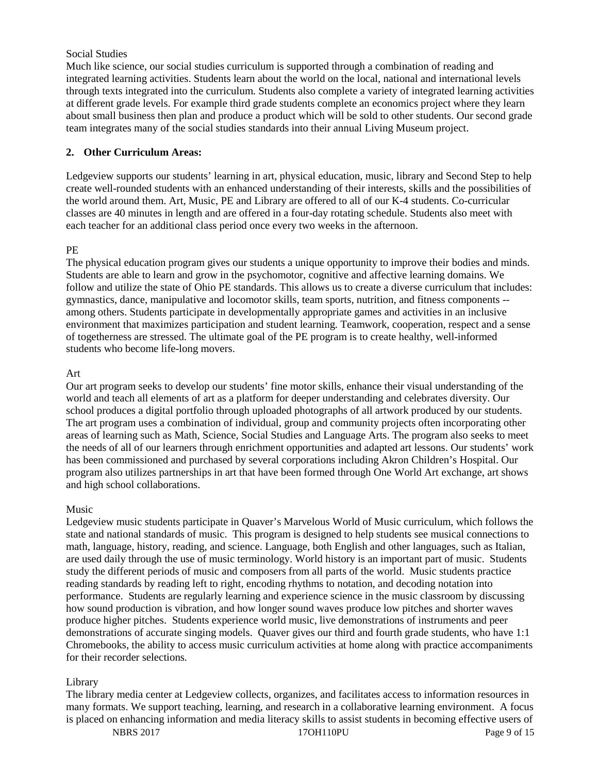## Social Studies

Much like science, our social studies curriculum is supported through a combination of reading and integrated learning activities. Students learn about the world on the local, national and international levels through texts integrated into the curriculum. Students also complete a variety of integrated learning activities at different grade levels. For example third grade students complete an economics project where they learn about small business then plan and produce a product which will be sold to other students. Our second grade team integrates many of the social studies standards into their annual Living Museum project.

# **2. Other Curriculum Areas:**

Ledgeview supports our students' learning in art, physical education, music, library and Second Step to help create well-rounded students with an enhanced understanding of their interests, skills and the possibilities of the world around them. Art, Music, PE and Library are offered to all of our K-4 students. Co-curricular classes are 40 minutes in length and are offered in a four-day rotating schedule. Students also meet with each teacher for an additional class period once every two weeks in the afternoon.

# PE

The physical education program gives our students a unique opportunity to improve their bodies and minds. Students are able to learn and grow in the psychomotor, cognitive and affective learning domains. We follow and utilize the state of Ohio PE standards. This allows us to create a diverse curriculum that includes: gymnastics, dance, manipulative and locomotor skills, team sports, nutrition, and fitness components - among others. Students participate in developmentally appropriate games and activities in an inclusive environment that maximizes participation and student learning. Teamwork, cooperation, respect and a sense of togetherness are stressed. The ultimate goal of the PE program is to create healthy, well-informed students who become life-long movers.

### Art

Our art program seeks to develop our students' fine motor skills, enhance their visual understanding of the world and teach all elements of art as a platform for deeper understanding and celebrates diversity. Our school produces a digital portfolio through uploaded photographs of all artwork produced by our students. The art program uses a combination of individual, group and community projects often incorporating other areas of learning such as Math, Science, Social Studies and Language Arts. The program also seeks to meet the needs of all of our learners through enrichment opportunities and adapted art lessons. Our students' work has been commissioned and purchased by several corporations including Akron Children's Hospital. Our program also utilizes partnerships in art that have been formed through One World Art exchange, art shows and high school collaborations.

### Music

Ledgeview music students participate in Quaver's Marvelous World of Music curriculum, which follows the state and national standards of music. This program is designed to help students see musical connections to math, language, history, reading, and science. Language, both English and other languages, such as Italian, are used daily through the use of music terminology. World history is an important part of music. Students study the different periods of music and composers from all parts of the world. Music students practice reading standards by reading left to right, encoding rhythms to notation, and decoding notation into performance. Students are regularly learning and experience science in the music classroom by discussing how sound production is vibration, and how longer sound waves produce low pitches and shorter waves produce higher pitches. Students experience world music, live demonstrations of instruments and peer demonstrations of accurate singing models. Quaver gives our third and fourth grade students, who have 1:1 Chromebooks, the ability to access music curriculum activities at home along with practice accompaniments for their recorder selections.

# Library

The library media center at Ledgeview collects, organizes, and facilitates access to information resources in many formats. We support teaching, learning, and research in a collaborative learning environment. A focus is placed on enhancing information and media literacy skills to assist students in becoming effective users of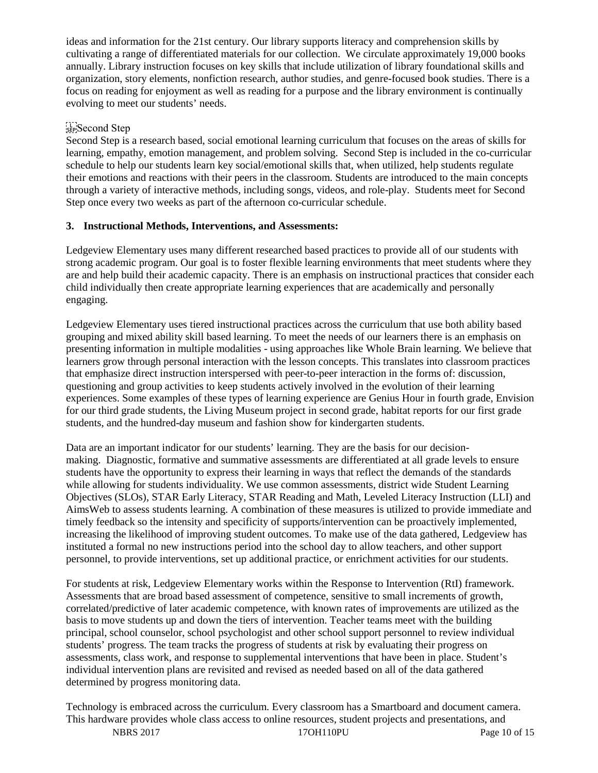ideas and information for the 21st century. Our library supports literacy and comprehension skills by cultivating a range of differentiated materials for our collection. We circulate approximately 19,000 books annually. Library instruction focuses on key skills that include utilization of library foundational skills and organization, story elements, nonfiction research, author studies, and genre-focused book studies. There is a focus on reading for enjoyment as well as reading for a purpose and the library environment is continually evolving to meet our students' needs.

# Second Step

Second Step is a research based, social emotional learning curriculum that focuses on the areas of skills for learning, empathy, emotion management, and problem solving. Second Step is included in the co-curricular schedule to help our students learn key social/emotional skills that, when utilized, help students regulate their emotions and reactions with their peers in the classroom. Students are introduced to the main concepts through a variety of interactive methods, including songs, videos, and role-play. Students meet for Second Step once every two weeks as part of the afternoon co-curricular schedule.

# **3. Instructional Methods, Interventions, and Assessments:**

Ledgeview Elementary uses many different researched based practices to provide all of our students with strong academic program. Our goal is to foster flexible learning environments that meet students where they are and help build their academic capacity. There is an emphasis on instructional practices that consider each child individually then create appropriate learning experiences that are academically and personally engaging.

Ledgeview Elementary uses tiered instructional practices across the curriculum that use both ability based grouping and mixed ability skill based learning. To meet the needs of our learners there is an emphasis on presenting information in multiple modalities - using approaches like Whole Brain learning. We believe that learners grow through personal interaction with the lesson concepts. This translates into classroom practices that emphasize direct instruction interspersed with peer-to-peer interaction in the forms of: discussion, questioning and group activities to keep students actively involved in the evolution of their learning experiences. Some examples of these types of learning experience are Genius Hour in fourth grade, Envision for our third grade students, the Living Museum project in second grade, habitat reports for our first grade students, and the hundred-day museum and fashion show for kindergarten students.

Data are an important indicator for our students' learning. They are the basis for our decisionmaking. Diagnostic, formative and summative assessments are differentiated at all grade levels to ensure students have the opportunity to express their learning in ways that reflect the demands of the standards while allowing for students individuality. We use common assessments, district wide Student Learning Objectives (SLOs), STAR Early Literacy, STAR Reading and Math, Leveled Literacy Instruction (LLI) and AimsWeb to assess students learning. A combination of these measures is utilized to provide immediate and timely feedback so the intensity and specificity of supports/intervention can be proactively implemented, increasing the likelihood of improving student outcomes. To make use of the data gathered, Ledgeview has instituted a formal no new instructions period into the school day to allow teachers, and other support personnel, to provide interventions, set up additional practice, or enrichment activities for our students.

For students at risk, Ledgeview Elementary works within the Response to Intervention (RtI) framework. Assessments that are broad based assessment of competence, sensitive to small increments of growth, correlated/predictive of later academic competence, with known rates of improvements are utilized as the basis to move students up and down the tiers of intervention. Teacher teams meet with the building principal, school counselor, school psychologist and other school support personnel to review individual students' progress. The team tracks the progress of students at risk by evaluating their progress on assessments, class work, and response to supplemental interventions that have been in place. Student's individual intervention plans are revisited and revised as needed based on all of the data gathered determined by progress monitoring data.

Technology is embraced across the curriculum. Every classroom has a Smartboard and document camera. This hardware provides whole class access to online resources, student projects and presentations, and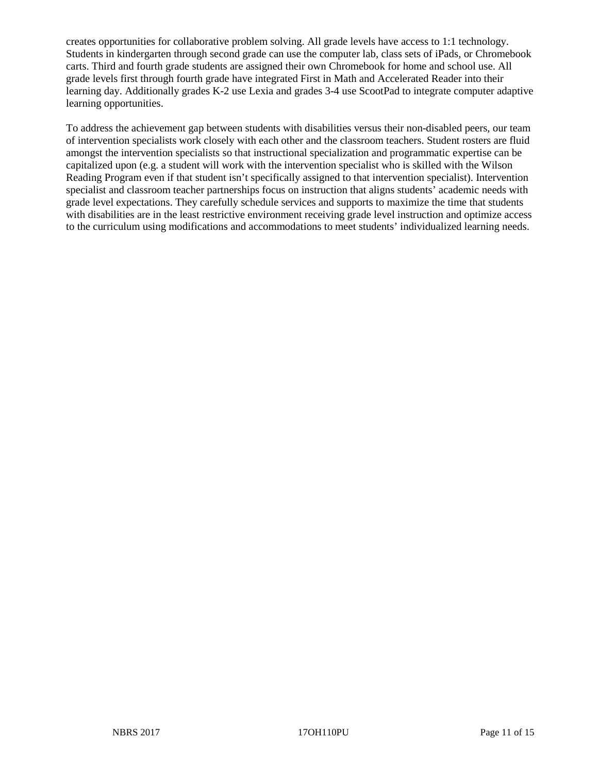creates opportunities for collaborative problem solving. All grade levels have access to 1:1 technology. Students in kindergarten through second grade can use the computer lab, class sets of iPads, or Chromebook carts. Third and fourth grade students are assigned their own Chromebook for home and school use. All grade levels first through fourth grade have integrated First in Math and Accelerated Reader into their learning day. Additionally grades K-2 use Lexia and grades 3-4 use ScootPad to integrate computer adaptive learning opportunities.

To address the achievement gap between students with disabilities versus their non-disabled peers, our team of intervention specialists work closely with each other and the classroom teachers. Student rosters are fluid amongst the intervention specialists so that instructional specialization and programmatic expertise can be capitalized upon (e.g. a student will work with the intervention specialist who is skilled with the Wilson Reading Program even if that student isn't specifically assigned to that intervention specialist). Intervention specialist and classroom teacher partnerships focus on instruction that aligns students' academic needs with grade level expectations. They carefully schedule services and supports to maximize the time that students with disabilities are in the least restrictive environment receiving grade level instruction and optimize access to the curriculum using modifications and accommodations to meet students' individualized learning needs.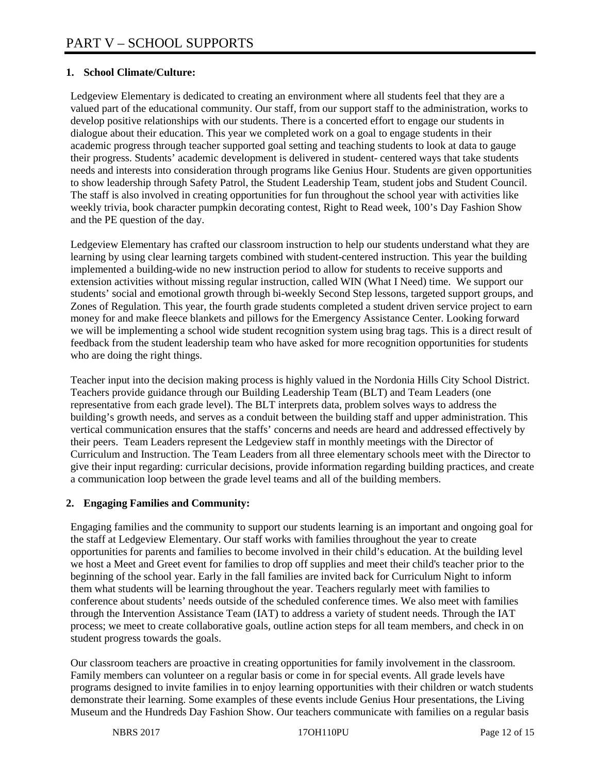# **1. School Climate/Culture:**

Ledgeview Elementary is dedicated to creating an environment where all students feel that they are a valued part of the educational community. Our staff, from our support staff to the administration, works to develop positive relationships with our students. There is a concerted effort to engage our students in dialogue about their education. This year we completed work on a goal to engage students in their academic progress through teacher supported goal setting and teaching students to look at data to gauge their progress. Students' academic development is delivered in student- centered ways that take students needs and interests into consideration through programs like Genius Hour. Students are given opportunities to show leadership through Safety Patrol, the Student Leadership Team, student jobs and Student Council. The staff is also involved in creating opportunities for fun throughout the school year with activities like weekly trivia, book character pumpkin decorating contest, Right to Read week, 100's Day Fashion Show and the PE question of the day.

Ledgeview Elementary has crafted our classroom instruction to help our students understand what they are learning by using clear learning targets combined with student-centered instruction. This year the building implemented a building-wide no new instruction period to allow for students to receive supports and extension activities without missing regular instruction, called WIN (What I Need) time. We support our students' social and emotional growth through bi-weekly Second Step lessons, targeted support groups, and Zones of Regulation. This year, the fourth grade students completed a student driven service project to earn money for and make fleece blankets and pillows for the Emergency Assistance Center. Looking forward we will be implementing a school wide student recognition system using brag tags. This is a direct result of feedback from the student leadership team who have asked for more recognition opportunities for students who are doing the right things.

Teacher input into the decision making process is highly valued in the Nordonia Hills City School District. Teachers provide guidance through our Building Leadership Team (BLT) and Team Leaders (one representative from each grade level). The BLT interprets data, problem solves ways to address the building's growth needs, and serves as a conduit between the building staff and upper administration. This vertical communication ensures that the staffs' concerns and needs are heard and addressed effectively by their peers. Team Leaders represent the Ledgeview staff in monthly meetings with the Director of Curriculum and Instruction. The Team Leaders from all three elementary schools meet with the Director to give their input regarding: curricular decisions, provide information regarding building practices, and create a communication loop between the grade level teams and all of the building members.

### **2. Engaging Families and Community:**

Engaging families and the community to support our students learning is an important and ongoing goal for the staff at Ledgeview Elementary. Our staff works with families throughout the year to create opportunities for parents and families to become involved in their child's education. At the building level we host a Meet and Greet event for families to drop off supplies and meet their child's teacher prior to the beginning of the school year. Early in the fall families are invited back for Curriculum Night to inform them what students will be learning throughout the year. Teachers regularly meet with families to conference about students' needs outside of the scheduled conference times. We also meet with families through the Intervention Assistance Team (IAT) to address a variety of student needs. Through the IAT process; we meet to create collaborative goals, outline action steps for all team members, and check in on student progress towards the goals.

Our classroom teachers are proactive in creating opportunities for family involvement in the classroom. Family members can volunteer on a regular basis or come in for special events. All grade levels have programs designed to invite families in to enjoy learning opportunities with their children or watch students demonstrate their learning. Some examples of these events include Genius Hour presentations, the Living Museum and the Hundreds Day Fashion Show. Our teachers communicate with families on a regular basis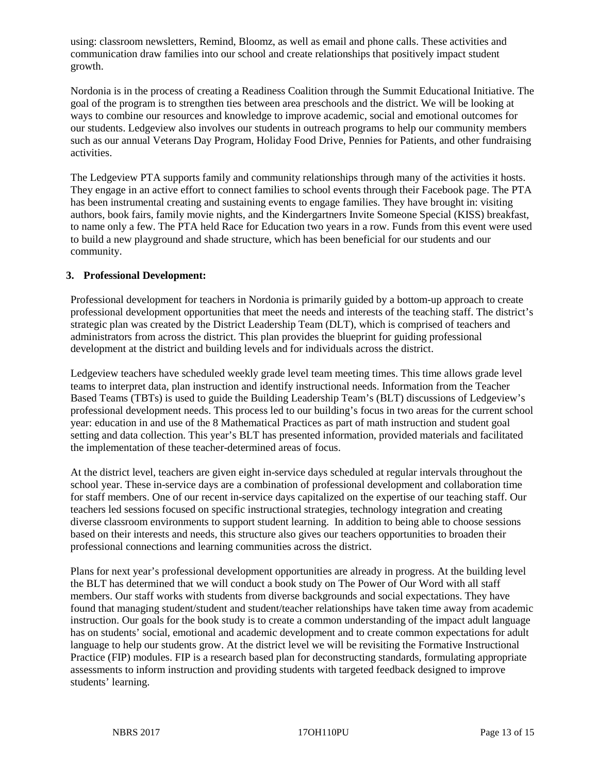using: classroom newsletters, Remind, Bloomz, as well as email and phone calls. These activities and communication draw families into our school and create relationships that positively impact student growth.

Nordonia is in the process of creating a Readiness Coalition through the Summit Educational Initiative. The goal of the program is to strengthen ties between area preschools and the district. We will be looking at ways to combine our resources and knowledge to improve academic, social and emotional outcomes for our students. Ledgeview also involves our students in outreach programs to help our community members such as our annual Veterans Day Program, Holiday Food Drive, Pennies for Patients, and other fundraising activities.

The Ledgeview PTA supports family and community relationships through many of the activities it hosts. They engage in an active effort to connect families to school events through their Facebook page. The PTA has been instrumental creating and sustaining events to engage families. They have brought in: visiting authors, book fairs, family movie nights, and the Kindergartners Invite Someone Special (KISS) breakfast, to name only a few. The PTA held Race for Education two years in a row. Funds from this event were used to build a new playground and shade structure, which has been beneficial for our students and our community.

### **3. Professional Development:**

Professional development for teachers in Nordonia is primarily guided by a bottom-up approach to create professional development opportunities that meet the needs and interests of the teaching staff. The district's strategic plan was created by the District Leadership Team (DLT), which is comprised of teachers and administrators from across the district. This plan provides the blueprint for guiding professional development at the district and building levels and for individuals across the district.

Ledgeview teachers have scheduled weekly grade level team meeting times. This time allows grade level teams to interpret data, plan instruction and identify instructional needs. Information from the Teacher Based Teams (TBTs) is used to guide the Building Leadership Team's (BLT) discussions of Ledgeview's professional development needs. This process led to our building's focus in two areas for the current school year: education in and use of the 8 Mathematical Practices as part of math instruction and student goal setting and data collection. This year's BLT has presented information, provided materials and facilitated the implementation of these teacher-determined areas of focus.

At the district level, teachers are given eight in-service days scheduled at regular intervals throughout the school year. These in-service days are a combination of professional development and collaboration time for staff members. One of our recent in-service days capitalized on the expertise of our teaching staff. Our teachers led sessions focused on specific instructional strategies, technology integration and creating diverse classroom environments to support student learning. In addition to being able to choose sessions based on their interests and needs, this structure also gives our teachers opportunities to broaden their professional connections and learning communities across the district.

Plans for next year's professional development opportunities are already in progress. At the building level the BLT has determined that we will conduct a book study on The Power of Our Word with all staff members. Our staff works with students from diverse backgrounds and social expectations. They have found that managing student/student and student/teacher relationships have taken time away from academic instruction. Our goals for the book study is to create a common understanding of the impact adult language has on students' social, emotional and academic development and to create common expectations for adult language to help our students grow. At the district level we will be revisiting the Formative Instructional Practice (FIP) modules. FIP is a research based plan for deconstructing standards, formulating appropriate assessments to inform instruction and providing students with targeted feedback designed to improve students' learning.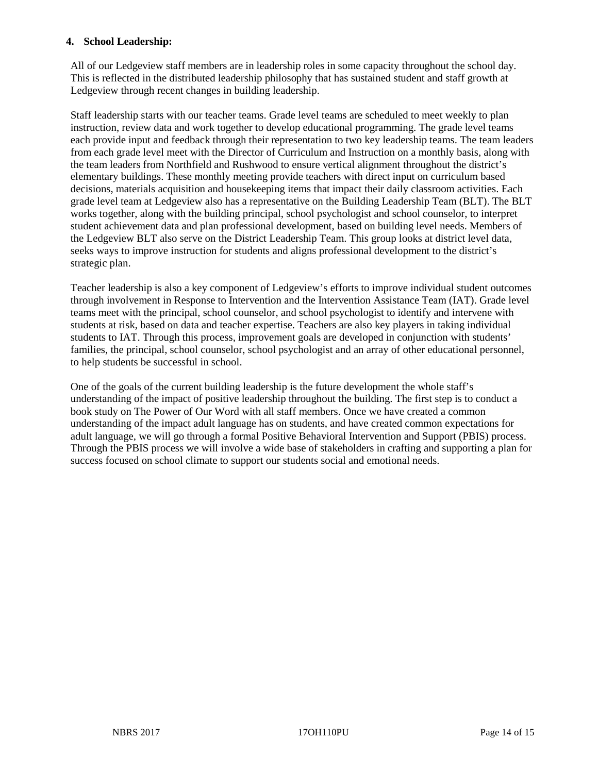### **4. School Leadership:**

All of our Ledgeview staff members are in leadership roles in some capacity throughout the school day. This is reflected in the distributed leadership philosophy that has sustained student and staff growth at Ledgeview through recent changes in building leadership.

Staff leadership starts with our teacher teams. Grade level teams are scheduled to meet weekly to plan instruction, review data and work together to develop educational programming. The grade level teams each provide input and feedback through their representation to two key leadership teams. The team leaders from each grade level meet with the Director of Curriculum and Instruction on a monthly basis, along with the team leaders from Northfield and Rushwood to ensure vertical alignment throughout the district's elementary buildings. These monthly meeting provide teachers with direct input on curriculum based decisions, materials acquisition and housekeeping items that impact their daily classroom activities. Each grade level team at Ledgeview also has a representative on the Building Leadership Team (BLT). The BLT works together, along with the building principal, school psychologist and school counselor, to interpret student achievement data and plan professional development, based on building level needs. Members of the Ledgeview BLT also serve on the District Leadership Team. This group looks at district level data, seeks ways to improve instruction for students and aligns professional development to the district's strategic plan.

Teacher leadership is also a key component of Ledgeview's efforts to improve individual student outcomes through involvement in Response to Intervention and the Intervention Assistance Team (IAT). Grade level teams meet with the principal, school counselor, and school psychologist to identify and intervene with students at risk, based on data and teacher expertise. Teachers are also key players in taking individual students to IAT. Through this process, improvement goals are developed in conjunction with students' families, the principal, school counselor, school psychologist and an array of other educational personnel, to help students be successful in school.

One of the goals of the current building leadership is the future development the whole staff's understanding of the impact of positive leadership throughout the building. The first step is to conduct a book study on The Power of Our Word with all staff members. Once we have created a common understanding of the impact adult language has on students, and have created common expectations for adult language, we will go through a formal Positive Behavioral Intervention and Support (PBIS) process. Through the PBIS process we will involve a wide base of stakeholders in crafting and supporting a plan for success focused on school climate to support our students social and emotional needs.